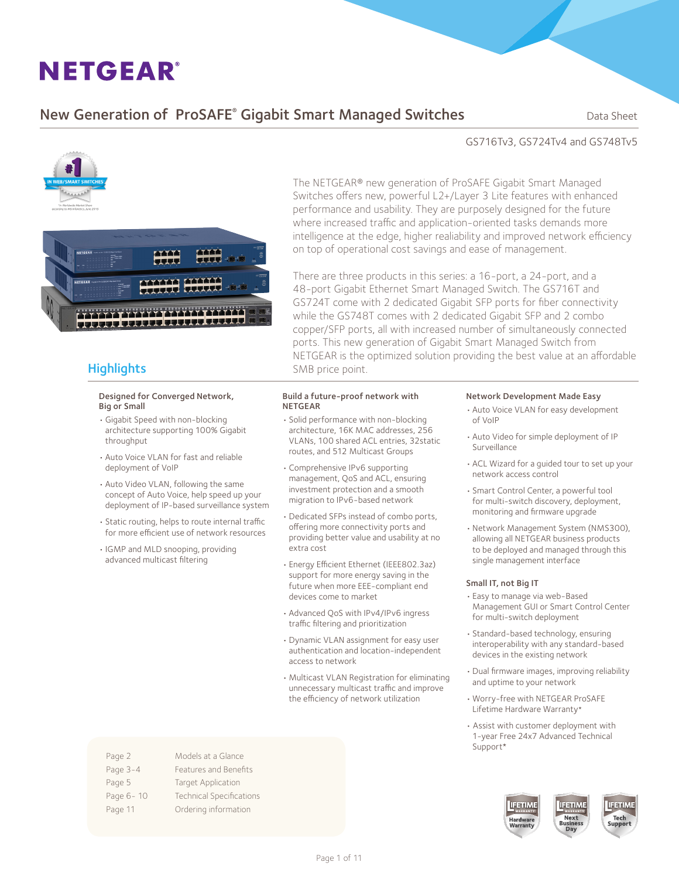### New Generation of ProSAFE® Gigabit Smart Managed Switches **Supersed Banks Cana** Sheet

#### GS716Tv3, GS724Tv4 and GS748Tv5



#### **Highlights**

#### Designed for Converged Network, Big or Small

- • Gigabit Speed with non-blocking architecture supporting 100% Gigabit throughput
- • Auto Voice VLAN for fast and reliable deployment of VoIP
- Auto Video VLAN, following the same concept of Auto Voice, help speed up your deployment of IP-based surveillance system
- • Static routing, helps to route internal traffic for more efficient use of network resources
- • IGMP and MLD snooping, providing advanced multicast filtering

The NETGEAR® new generation of ProSAFE Gigabit Smart Managed Switches offers new, powerful L2+/Layer 3 Lite features with enhanced performance and usability. They are purposely designed for the future where increased traffic and application-oriented tasks demands more intelligence at the edge, higher realiability and improved network efficiency on top of operational cost savings and ease of management.

There are three products in this series: a 16-port, a 24-port, and a 48-port Gigabit Ethernet Smart Managed Switch. The GS716T and GS724T come with 2 dedicated Gigabit SFP ports for fiber connectivity while the GS748T comes with 2 dedicated Gigabit SFP and 2 combo copper/SFP ports, all with increased number of simultaneously connected ports. This new generation of Gigabit Smart Managed Switch from NETGEAR is the optimized solution providing the best value at an affordable SMB price point.

#### Build a future-proof network with NETGEAR

- • Solid performance with non-blocking architecture, 16K MAC addresses, 256 VLANs, 100 shared ACL entries, 32static routes, and 512 Multicast Groups
- • Comprehensive IPv6 supporting management, QoS and ACL, ensuring investment protection and a smooth migration to IPv6-based network
- • Dedicated SFPs instead of combo ports, offering more connectivity ports and providing better value and usability at no extra cost
- • Energy Efficient Ethernet (IEEE802.3az) support for more energy saving in the future when more EEE-compliant end devices come to market
- Advanced OoS with IPv4/IPv6 ingress traffic filtering and prioritization
- • Dynamic VLAN assignment for easy user authentication and location-independent access to network
- • Multicast VLAN Registration for eliminating unnecessary multicast traffic and improve the efficiency of network utilization

#### Network Development Made Easy

- • Auto Voice VLAN for easy development of VoIP
- • Auto Video for simple deployment of IP Surveillance
- • ACL Wizard for a guided tour to set up your network access control
- • Smart Control Center, a powerful tool for multi-switch discovery, deployment, monitoring and firmware upgrade
- • Network Management System (NMS300), allowing all NETGEAR business products to be deployed and managed through this single management interface

#### Small IT, not Big IT

- • Easy to manage via web-Based Management GUI or Smart Control Center for multi-switch deployment
- • Standard-based technology, ensuring interoperability with any standard-based devices in the existing network
- • Dual firmware images, improving reliability and uptime to your network
- • Worry-free with NETGEAR ProSAFE Lifetime Hardware Warranty\*
- Assist with customer deployment with 1-year Free 24x7 Advanced Technical Support\*





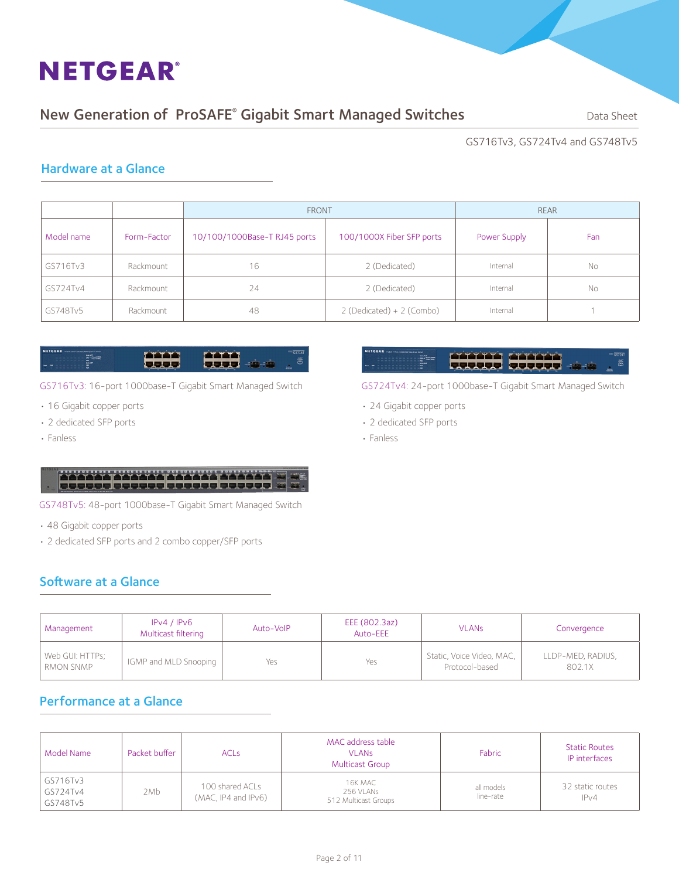### New Generation of ProSAFE® Gigabit Smart Managed Switches **Supersed Banks Cana** Sheet

GS716Tv3, GS724Tv4 and GS748Tv5

#### Hardware at a Glance

|            |             | <b>FRONT</b>                 | <b>REAR</b>                 |              |     |
|------------|-------------|------------------------------|-----------------------------|--------------|-----|
| Model name | Form-Factor | 10/100/1000Base-T RJ45 ports | 100/1000X Fiber SFP ports   | Power Supply | Fan |
| GS716Tv3   | Rackmount   | 16                           | 2 (Dedicated)               | Internal     | No  |
| GS724Tv4   | Rackmount   | 24                           | 2 (Dedicated)               | Internal     | No  |
| GS748Tv5   | Rackmount   | 48                           | $2$ (Dedicated) + 2 (Combo) | Internal     |     |

#### **SETGEAR** atina<br>Cooo anna.<br>Baba

GS716Tv3: 16-port 1000base-T Gigabit Smart Managed Switch

- 16 Gigabit copper ports
- • 2 dedicated SFP ports
- • Fanless

### **Control Control Control**

GS748Tv5: 48-port 1000base-T Gigabit Smart Managed Switch

- • 48 Gigabit copper ports
- 2 dedicated SFP ports and 2 combo copper/SFP ports

#### Software at a Glance

| <b>ETGEAR</b> Preter 24 Pert 120000000 Nas Smart Send                                                        |             |                                                                                                                                                                                                                                      |  |
|--------------------------------------------------------------------------------------------------------------|-------------|--------------------------------------------------------------------------------------------------------------------------------------------------------------------------------------------------------------------------------------|--|
| and the second and the control of the per-                                                                   |             | <u> The Second Contract of the Second Contract of the Second Contract of the Second Contract of the Second Contract of the Second Contract of the Second Contract of the Second Contract of the Second Contract of the Second Co</u> |  |
| the second control of the second control and the control of the con-<br><b>Made WOT</b><br><b>CONTRACTOR</b> |             |                                                                                                                                                                                                                                      |  |
|                                                                                                              | - - - - - - | 1                                                                                                                                                                                                                                    |  |

GS724Tv4: 24-port 1000base-T Gigabit Smart Managed Switch

- 24 Gigabit copper ports
- 2 dedicated SFP ports
- • Fanless

| Management                   | IPv4 / IPv6<br>Multicast filtering | Auto-VoIP | EEE (802.3az)<br>Auto-EEE | <b>VLANs</b>                                | Convergence                 |
|------------------------------|------------------------------------|-----------|---------------------------|---------------------------------------------|-----------------------------|
| Web GUI: HTTPs;<br>RMON SNMP | IGMP and MLD Snooping              | Yes       | Yes                       | Static, Voice Video, MAC,<br>Protocol-based | LLDP-MED, RADIUS,<br>802.1X |

#### Performance at a Glance

| Model Name                       | Packet buffer | <b>ACLs</b>                            | MAC address table<br><b>VLANS</b><br><b>Multicast Group</b> | Fabric                  | <b>Static Routes</b><br>IP interfaces |
|----------------------------------|---------------|----------------------------------------|-------------------------------------------------------------|-------------------------|---------------------------------------|
| GS716Tv3<br>GS724Tv4<br>GS748Tv5 | 2Mb           | 100 shared ACLs<br>(MAC, IP4 and IPv6) | 16K MAC<br>256 VLANs<br>512 Multicast Groups                | all models<br>line-rate | 32 static routes<br>IPv4              |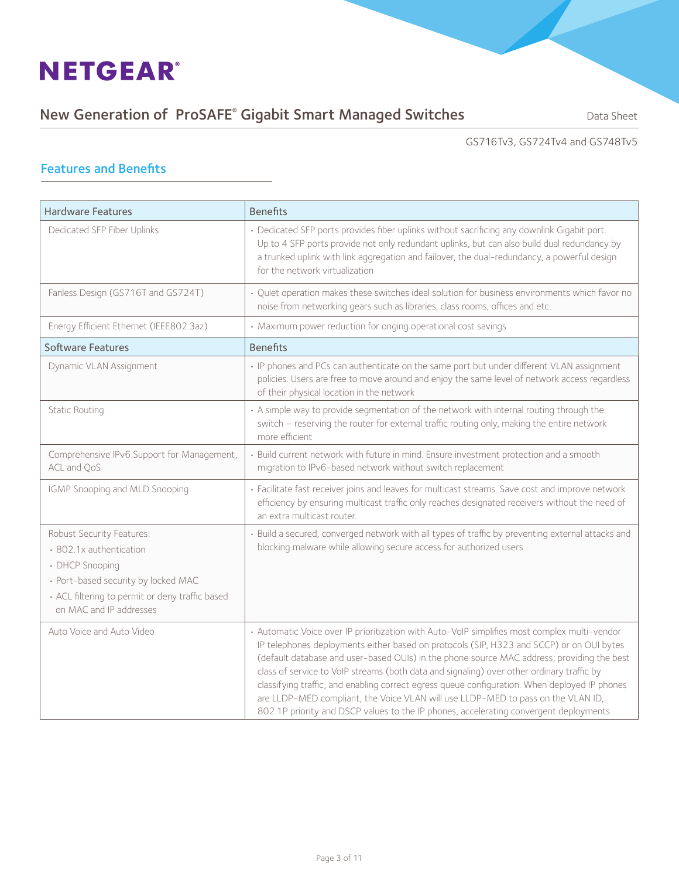### New Generation of ProSAFE® Gigabit Smart Managed Switches **Supersed Banks Cana** Sheet

#### GS716Tv3, GS724Tv4 and GS748Tv5

#### Features and Benefits

| <b>Hardware Features</b>                                                                                                                                                                     | <b>Benefits</b>                                                                                                                                                                                                                                                                                                                                                                                                                                                                                                                                                                                                                                                   |  |
|----------------------------------------------------------------------------------------------------------------------------------------------------------------------------------------------|-------------------------------------------------------------------------------------------------------------------------------------------------------------------------------------------------------------------------------------------------------------------------------------------------------------------------------------------------------------------------------------------------------------------------------------------------------------------------------------------------------------------------------------------------------------------------------------------------------------------------------------------------------------------|--|
| Dedicated SFP Fiber Uplinks                                                                                                                                                                  | · Dedicated SFP ports provides fiber uplinks without sacrificing any downlink Gigabit port.<br>Up to 4 SFP ports provide not only redundant uplinks, but can also build dual redundancy by<br>a trunked uplink with link aggregation and failover, the dual-redundancy, a powerful design<br>for the network virtualization                                                                                                                                                                                                                                                                                                                                       |  |
| Fanless Design (GS716T and GS724T)                                                                                                                                                           | • Quiet operation makes these switches ideal solution for business environments which favor no<br>noise from networking gears such as libraries, class rooms, offices and etc.                                                                                                                                                                                                                                                                                                                                                                                                                                                                                    |  |
| Energy Efficient Ethernet (IEEE802.3az)                                                                                                                                                      | • Maximum power reduction for onging operational cost savings                                                                                                                                                                                                                                                                                                                                                                                                                                                                                                                                                                                                     |  |
| <b>Software Features</b>                                                                                                                                                                     | <b>Benefits</b>                                                                                                                                                                                                                                                                                                                                                                                                                                                                                                                                                                                                                                                   |  |
| Dynamic VLAN Assignment                                                                                                                                                                      | • IP phones and PCs can authenticate on the same port but under different VLAN assignment<br>policies. Users are free to move around and enjoy the same level of network access regardless<br>of their physical location in the network                                                                                                                                                                                                                                                                                                                                                                                                                           |  |
| <b>Static Routing</b>                                                                                                                                                                        | • A simple way to provide segmentation of the network with internal routing through the<br>switch - reserving the router for external traffic routing only, making the entire network<br>more efficient                                                                                                                                                                                                                                                                                                                                                                                                                                                           |  |
| Comprehensive IPv6 Support for Management,<br>ACL and QoS                                                                                                                                    | • Build current network with future in mind. Ensure investment protection and a smooth<br>migration to IPv6-based network without switch replacement                                                                                                                                                                                                                                                                                                                                                                                                                                                                                                              |  |
| IGMP Snooping and MLD Snooping                                                                                                                                                               | · Facilitate fast receiver joins and leaves for multicast streams. Save cost and improve network<br>efficiency by ensuring multicast traffic only reaches designated receivers without the need of<br>an extra multicast router.                                                                                                                                                                                                                                                                                                                                                                                                                                  |  |
| Robust Security Features:<br>· 802.1x authentication<br>• DHCP Snooping<br>· Port-based security by locked MAC<br>• ACL filtering to permit or deny traffic based<br>on MAC and IP addresses | · Build a secured, converged network with all types of traffic by preventing external attacks and<br>blocking malware while allowing secure access for authorized users                                                                                                                                                                                                                                                                                                                                                                                                                                                                                           |  |
| Auto Voice and Auto Video                                                                                                                                                                    | • Automatic Voice over IP prioritization with Auto-VoIP simplifies most complex multi-vendor<br>IP telephones deployments either based on protocols (SIP, H323 and SCCP) or on OUI bytes<br>(default database and user-based OUIs) in the phone source MAC address; providing the best<br>class of service to VoIP streams (both data and signaling) over other ordinary traffic by<br>classifying traffic, and enabling correct egress queue configuration. When deployed IP phones<br>are LLDP-MED compliant, the Voice VLAN will use LLDP-MED to pass on the VLAN ID,<br>802.1P priority and DSCP values to the IP phones, accelerating convergent deployments |  |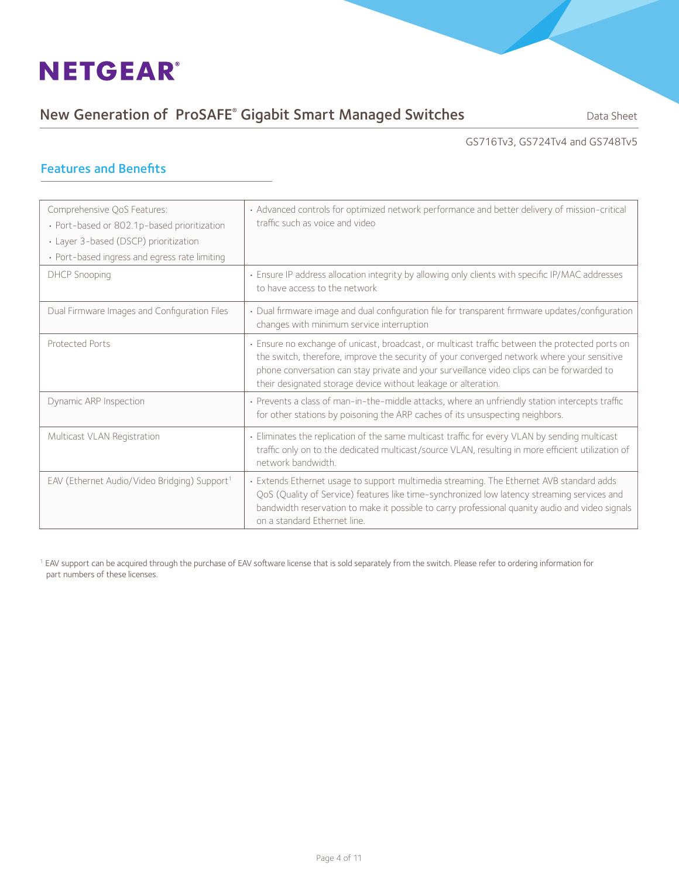### New Generation of ProSAFE® Gigabit Smart Managed Switches **Supersed Banks Cana** Sheet

#### GS716Tv3, GS724Tv4 and GS748Tv5

#### Features and Benefits

| Comprehensive QoS Features:<br>· Port-based or 802.1p-based prioritization<br>· Layer 3-based (DSCP) prioritization<br>• Port-based ingress and egress rate limiting | • Advanced controls for optimized network performance and better delivery of mission-critical<br>traffic such as voice and video                                                                                                                                                                                                                             |
|----------------------------------------------------------------------------------------------------------------------------------------------------------------------|--------------------------------------------------------------------------------------------------------------------------------------------------------------------------------------------------------------------------------------------------------------------------------------------------------------------------------------------------------------|
| DHCP Snooping                                                                                                                                                        | · Ensure IP address allocation integrity by allowing only clients with specific IP/MAC addresses<br>to have access to the network                                                                                                                                                                                                                            |
| Dual Firmware Images and Configuration Files                                                                                                                         | • Dual firmware image and dual configuration file for transparent firmware updates/configuration<br>changes with minimum service interruption                                                                                                                                                                                                                |
| <b>Protected Ports</b>                                                                                                                                               | · Ensure no exchange of unicast, broadcast, or multicast traffic between the protected ports on<br>the switch, therefore, improve the security of your converged network where your sensitive<br>phone conversation can stay private and your surveillance video clips can be forwarded to<br>their designated storage device without leakage or alteration. |
| Dynamic ARP Inspection                                                                                                                                               | · Prevents a class of man-in-the-middle attacks, where an unfriendly station intercepts traffic<br>for other stations by poisoning the ARP caches of its unsuspecting neighbors.                                                                                                                                                                             |
| Multicast VLAN Registration                                                                                                                                          | • Eliminates the replication of the same multicast traffic for every VLAN by sending multicast<br>traffic only on to the dedicated multicast/source VLAN, resulting in more efficient utilization of<br>network bandwidth.                                                                                                                                   |
| EAV (Ethernet Audio/Video Bridging) Support <sup>1</sup>                                                                                                             | · Extends Ethernet usage to support multimedia streaming. The Ethernet AVB standard adds<br>QoS (Quality of Service) features like time-synchronized low latency streaming services and<br>bandwidth reservation to make it possible to carry professional quanity audio and video signals<br>on a standard Ethernet line.                                   |

<sup>1</sup> EAV support can be acquired through the purchase of EAV software license that is sold separately from the switch. Please refer to ordering information for part numbers of these licenses.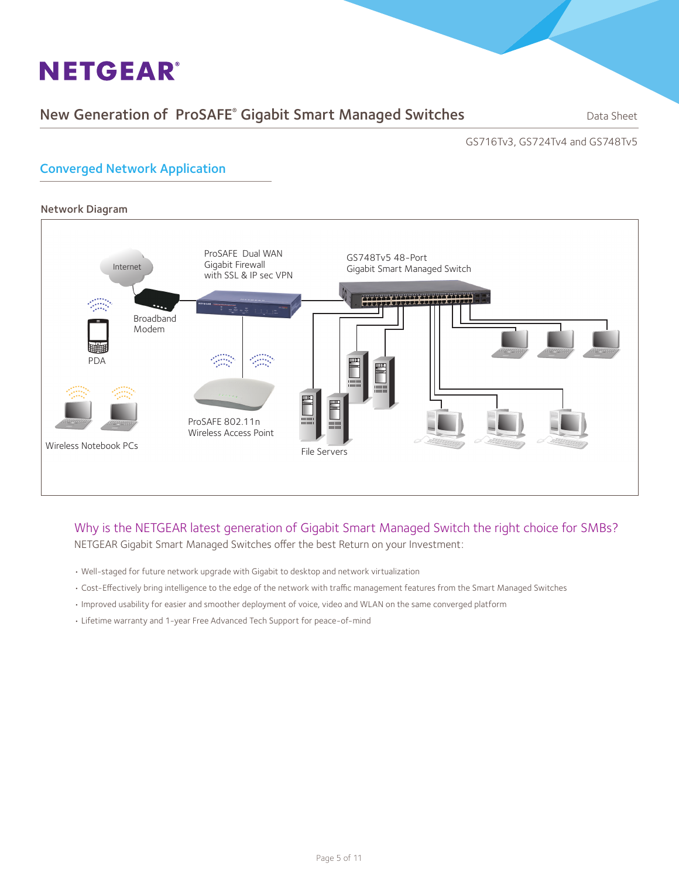### New Generation of ProSAFE® Gigabit Smart Managed Switches **Supersed Banks Cana** Sheet

GS716Tv3, GS724Tv4 and GS748Tv5

#### Converged Network Application



#### Why is the NETGEAR latest generation of Gigabit Smart Managed Switch the right choice for SMBs? NETGEAR Gigabit Smart Managed Switches offer the best Return on your Investment:

- Well-staged for future network upgrade with Gigabit to desktop and network virtualization
- Cost-Effectively bring intelligence to the edge of the network with traffic management features from the Smart Managed Switches
- Improved usability for easier and smoother deployment of voice, video and WLAN on the same converged platform
- Lifetime warranty and 1-year Free Advanced Tech Support for peace-of-mind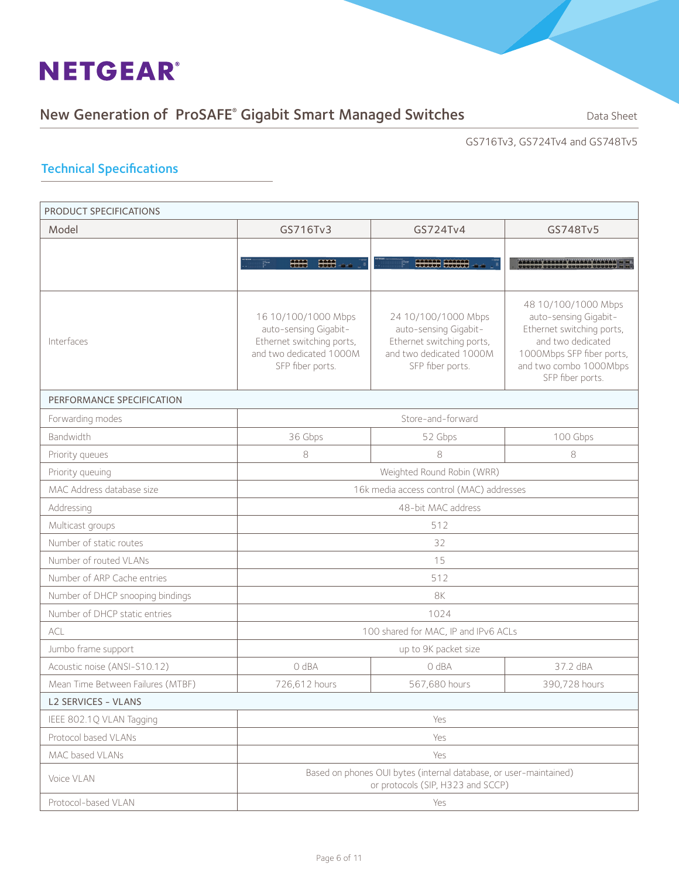#### New Generation of ProSAFE® Gigabit Smart Managed Switches **Supersed Banks Cana** Sheet

GS716Tv3, GS724Tv4 and GS748Tv5

#### Technical Specifications

| PRODUCT SPECIFICATIONS            |                                                                                                                          |                                                                                                                          |                                                                                                                                                                           |  |
|-----------------------------------|--------------------------------------------------------------------------------------------------------------------------|--------------------------------------------------------------------------------------------------------------------------|---------------------------------------------------------------------------------------------------------------------------------------------------------------------------|--|
| Model                             | GS716Tv3                                                                                                                 | GS724Tv4                                                                                                                 | GS748Tv5                                                                                                                                                                  |  |
|                                   |                                                                                                                          |                                                                                                                          |                                                                                                                                                                           |  |
|                                   | HHH<br><b>HHH</b>                                                                                                        | SHIP SHIP                                                                                                                |                                                                                                                                                                           |  |
|                                   |                                                                                                                          |                                                                                                                          |                                                                                                                                                                           |  |
| Interfaces                        | 16 10/100/1000 Mbps<br>auto-sensing Gigabit-<br>Ethernet switching ports,<br>and two dedicated 1000M<br>SFP fiber ports. | 24 10/100/1000 Mbps<br>auto-sensing Gigabit-<br>Ethernet switching ports,<br>and two dedicated 1000M<br>SFP fiber ports. | 48 10/100/1000 Mbps<br>auto-sensing Gigabit-<br>Ethernet switching ports,<br>and two dedicated<br>1000Mbps SFP fiber ports,<br>and two combo 1000Mbps<br>SFP fiber ports. |  |
| PERFORMANCE SPECIFICATION         |                                                                                                                          |                                                                                                                          |                                                                                                                                                                           |  |
| Forwarding modes                  |                                                                                                                          | Store-and-forward                                                                                                        |                                                                                                                                                                           |  |
| Bandwidth                         | 36 Gbps                                                                                                                  | 52 Gbps                                                                                                                  | 100 Gbps                                                                                                                                                                  |  |
| Priority queues                   | $\,8\,$                                                                                                                  | 8                                                                                                                        | 8                                                                                                                                                                         |  |
| Priority queuing                  | Weighted Round Robin (WRR)                                                                                               |                                                                                                                          |                                                                                                                                                                           |  |
| MAC Address database size         | 16k media access control (MAC) addresses                                                                                 |                                                                                                                          |                                                                                                                                                                           |  |
| Addressing                        | 48-bit MAC address                                                                                                       |                                                                                                                          |                                                                                                                                                                           |  |
| Multicast groups                  | 512                                                                                                                      |                                                                                                                          |                                                                                                                                                                           |  |
| Number of static routes           | 32                                                                                                                       |                                                                                                                          |                                                                                                                                                                           |  |
| Number of routed VLANs            | 15                                                                                                                       |                                                                                                                          |                                                                                                                                                                           |  |
| Number of ARP Cache entries       |                                                                                                                          | 512                                                                                                                      |                                                                                                                                                                           |  |
| Number of DHCP snooping bindings  |                                                                                                                          | 8K                                                                                                                       |                                                                                                                                                                           |  |
| Number of DHCP static entries     |                                                                                                                          | 1024                                                                                                                     |                                                                                                                                                                           |  |
| <b>ACL</b>                        |                                                                                                                          | 100 shared for MAC, IP and IPv6 ACLs                                                                                     |                                                                                                                                                                           |  |
| Jumbo frame support               |                                                                                                                          | up to 9K packet size                                                                                                     |                                                                                                                                                                           |  |
| Acoustic noise (ANSI-S10.12)      | 0 dBA                                                                                                                    | 0 dBA                                                                                                                    | 37.2 dBA                                                                                                                                                                  |  |
| Mean Time Between Failures (MTBF) | 726,612 hours                                                                                                            | 567,680 hours                                                                                                            | 390,728 hours                                                                                                                                                             |  |
| L2 SERVICES - VLANS               |                                                                                                                          |                                                                                                                          |                                                                                                                                                                           |  |
| IEEE 802.1Q VLAN Tagging          | Yes                                                                                                                      |                                                                                                                          |                                                                                                                                                                           |  |
| Protocol based VLANs              |                                                                                                                          | Yes                                                                                                                      |                                                                                                                                                                           |  |
| MAC based VLANs                   |                                                                                                                          | Yes                                                                                                                      |                                                                                                                                                                           |  |
| Voice VLAN                        | Based on phones OUI bytes (internal database, or user-maintained)<br>or protocols (SIP, H323 and SCCP)                   |                                                                                                                          |                                                                                                                                                                           |  |
| Protocol-based VLAN               |                                                                                                                          | Yes                                                                                                                      |                                                                                                                                                                           |  |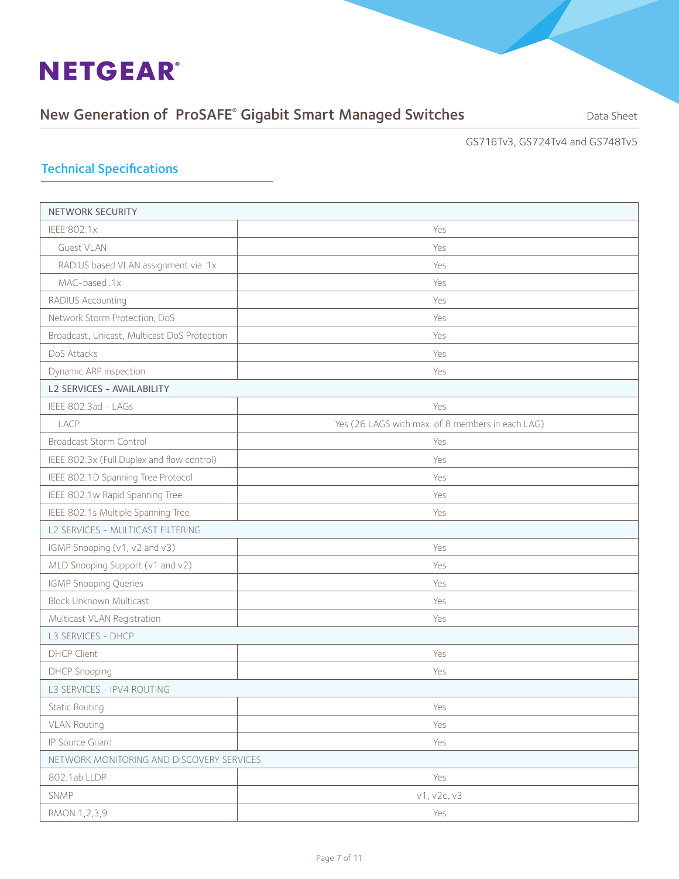### New Generation of ProSAFE® Gigabit Smart Managed Switches **Supersed Banks Cana** Sheet

GS716Tv3, GS724Tv4 and GS748Tv5

#### Technical Specifications

| <b>NETWORK SECURITY</b>                      |                                                  |  |  |
|----------------------------------------------|--------------------------------------------------|--|--|
| <b>IEEE 802.1x</b>                           | Yes                                              |  |  |
| Guest VLAN                                   | Yes                                              |  |  |
| RADIUS based VLAN assignment via .1x         | Yes                                              |  |  |
| MAC-based.1x                                 | Yes                                              |  |  |
| RADIUS Accounting                            | Yes                                              |  |  |
| Network Storm Protection, DoS                | Yes                                              |  |  |
| Broadcast, Unicast, Multicast DoS Protection | Yes                                              |  |  |
| DoS Attacks                                  | Yes                                              |  |  |
| Dynamic ARP inspection                       | Yes                                              |  |  |
| L2 SERVICES - AVAILABILITY                   |                                                  |  |  |
| IEEE 802.3ad - LAGs                          | Yes                                              |  |  |
| LACP                                         | Yes (26 LAGS with max. of 8 members in each LAG) |  |  |
| Broadcast Storm Control                      | Yes                                              |  |  |
| IEEE 802.3x (Full Duplex and flow control)   | Yes                                              |  |  |
| IEEE 802.1D Spanning Tree Protocol           | Yes                                              |  |  |
| IEEE 802.1w Rapid Spanning Tree              | Yes                                              |  |  |
| IEEE 802.1s Multiple Spanning Tree           | Yes                                              |  |  |
| L2 SERVICES - MULTICAST FILTERING            |                                                  |  |  |
| IGMP Snooping (v1, v2 and v3)                | Yes                                              |  |  |
| MLD Snooping Support (v1 and v2)             | Yes                                              |  |  |
| IGMP Snooping Queries                        | Yes                                              |  |  |
| <b>Block Unknown Multicast</b>               | Yes                                              |  |  |
| Multicast VLAN Registration                  | Yes                                              |  |  |
| L3 SERVICES - DHCP                           |                                                  |  |  |
| DHCP Client                                  | Yes                                              |  |  |
| <b>DHCP Snooping</b>                         | Yes                                              |  |  |
| L3 SERVICES - IPV4 ROUTING                   |                                                  |  |  |
| <b>Static Routing</b>                        | Yes                                              |  |  |
| <b>VLAN Routing</b>                          | Yes                                              |  |  |
| IP Source Guard                              | Yes                                              |  |  |
| NETWORK MONITORING AND DISCOVERY SERVICES    |                                                  |  |  |
| 802.1ab LLDP                                 | Yes                                              |  |  |
| SNMP                                         | v1, v2c, v3                                      |  |  |
| RMON 1,2,3,9                                 | Yes                                              |  |  |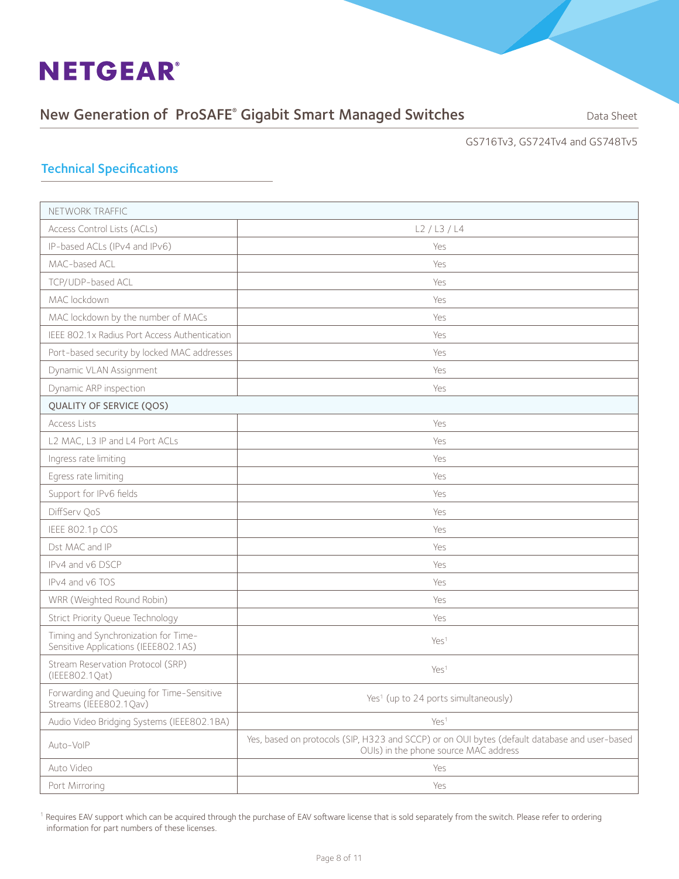### New Generation of ProSAFE® Gigabit Smart Managed Switches **Supersed Banks Cana** Sheet

GS716Tv3, GS724Tv4 and GS748Tv5

#### Technical Specifications

| NETWORK TRAFFIC                                                              |                                                                                                                                        |
|------------------------------------------------------------------------------|----------------------------------------------------------------------------------------------------------------------------------------|
| Access Control Lists (ACLs)                                                  | L2/L3/L4                                                                                                                               |
| IP-based ACLs (IPv4 and IPv6)                                                | Yes                                                                                                                                    |
| MAC-based ACL                                                                | Yes                                                                                                                                    |
| TCP/UDP-based ACL                                                            | Yes                                                                                                                                    |
| MAC lockdown                                                                 | Yes                                                                                                                                    |
| MAC lockdown by the number of MACs                                           | Yes                                                                                                                                    |
| IEEE 802.1x Radius Port Access Authentication                                | Yes                                                                                                                                    |
| Port-based security by locked MAC addresses                                  | Yes                                                                                                                                    |
| Dynamic VLAN Assignment                                                      | Yes                                                                                                                                    |
| Dynamic ARP inspection                                                       | Yes                                                                                                                                    |
| QUALITY OF SERVICE (QOS)                                                     |                                                                                                                                        |
| <b>Access Lists</b>                                                          | Yes                                                                                                                                    |
| L2 MAC, L3 IP and L4 Port ACLs                                               | Yes                                                                                                                                    |
| Ingress rate limiting                                                        | Yes                                                                                                                                    |
| Egress rate limiting                                                         | Yes                                                                                                                                    |
| Support for IPv6 fields                                                      | Yes                                                                                                                                    |
| DiffServ QoS                                                                 | Yes                                                                                                                                    |
| IEEE 802.1p COS                                                              | Yes                                                                                                                                    |
| Dst MAC and IP                                                               | Yes                                                                                                                                    |
| IPv4 and v6 DSCP                                                             | Yes                                                                                                                                    |
| IPv4 and v6 TOS                                                              | Yes                                                                                                                                    |
| WRR (Weighted Round Robin)                                                   | Yes                                                                                                                                    |
| Strict Priority Queue Technology                                             | Yes                                                                                                                                    |
| Timing and Synchronization for Time-<br>Sensitive Applications (IEEE802.1AS) | Yes <sup>1</sup>                                                                                                                       |
| Stream Reservation Protocol (SRP)<br>(IEEE802.1Qat)                          | Yes <sup>1</sup>                                                                                                                       |
| Forwarding and Queuing for Time-Sensitive<br>Streams (IEEE802.1Qav)          | Yes <sup>1</sup> (up to 24 ports simultaneously)                                                                                       |
| Audio Video Bridging Systems (IEEE802.1BA)                                   | Yes <sup>1</sup>                                                                                                                       |
| Auto-VoIP                                                                    | Yes, based on protocols (SIP, H323 and SCCP) or on OUI bytes (default database and user-based<br>OUIs) in the phone source MAC address |
| Auto Video                                                                   | Yes                                                                                                                                    |
| Port Mirroring                                                               | Yes                                                                                                                                    |

<sup>1</sup> Requires EAV support which can be acquired through the purchase of EAV software license that is sold separately from the switch. Please refer to ordering information for part numbers of these licenses.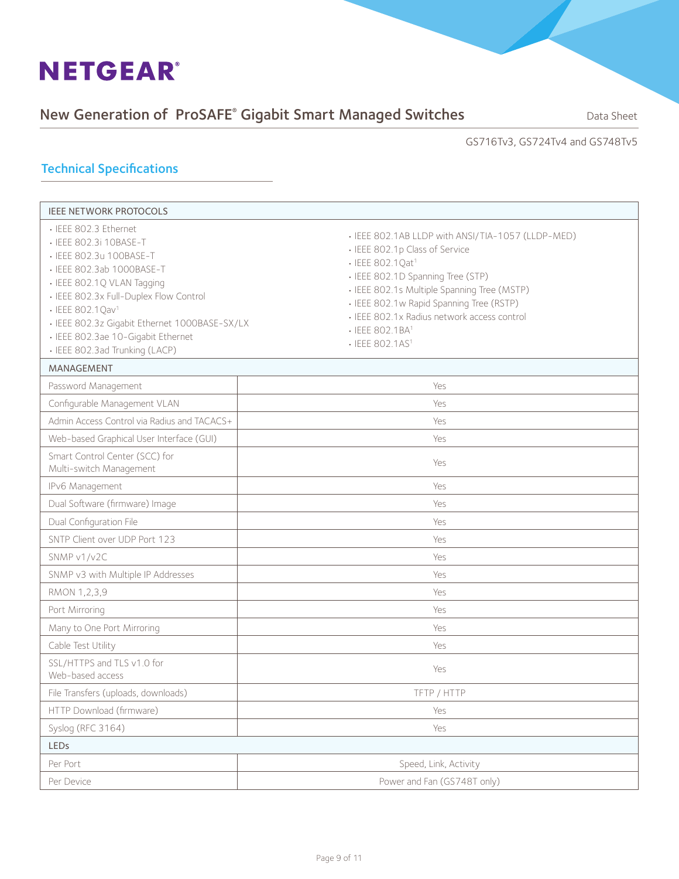### New Generation of ProSAFE® Gigabit Smart Managed Switches **Supersed Banks Cana** Sheet

#### GS716Tv3, GS724Tv4 and GS748Tv5

#### Technical Specifications

| <b>IEEE NETWORK PROTOCOLS</b>                                                                                                                                                                                                                                                                                                             |                                                                                                                                                                                                                                                                                                                                          |  |  |
|-------------------------------------------------------------------------------------------------------------------------------------------------------------------------------------------------------------------------------------------------------------------------------------------------------------------------------------------|------------------------------------------------------------------------------------------------------------------------------------------------------------------------------------------------------------------------------------------------------------------------------------------------------------------------------------------|--|--|
| · IEEE 802.3 Ethernet<br>• IEEE 802.3i 10BASE-T<br>• IEEE 802.3u 100BASE-T<br>· IEEE 802.3ab 1000BASE-T<br>· IEEE 802.1Q VLAN Tagging<br>• IEEE 802.3x Full-Duplex Flow Control<br>· IEEE 802.1 Qav <sup>1</sup><br>· IEEE 802.3z Gigabit Ethernet 1000BASE-SX/LX<br>· IEEE 802.3ae 10-Gigabit Ethernet<br>· IEEE 802.3ad Trunking (LACP) | • IEEE 802.1AB LLDP with ANSI/TIA-1057 (LLDP-MED)<br>· IEEE 802.1p Class of Service<br>· IEEE 802.1Qat <sup>1</sup><br>· IEEE 802.1D Spanning Tree (STP)<br>· IEEE 802.1s Multiple Spanning Tree (MSTP)<br>· IEEE 802.1w Rapid Spanning Tree (RSTP)<br>· IEEE 802.1x Radius network access control<br>· IEEE 802.1BA1<br>• IEEE 802.1AS1 |  |  |
| MANAGEMENT                                                                                                                                                                                                                                                                                                                                |                                                                                                                                                                                                                                                                                                                                          |  |  |
| Password Management                                                                                                                                                                                                                                                                                                                       | Yes                                                                                                                                                                                                                                                                                                                                      |  |  |
| Configurable Management VLAN                                                                                                                                                                                                                                                                                                              | Yes                                                                                                                                                                                                                                                                                                                                      |  |  |
| Admin Access Control via Radius and TACACS+                                                                                                                                                                                                                                                                                               | Yes                                                                                                                                                                                                                                                                                                                                      |  |  |
| Web-based Graphical User Interface (GUI)                                                                                                                                                                                                                                                                                                  | Yes                                                                                                                                                                                                                                                                                                                                      |  |  |
| Smart Control Center (SCC) for<br>Multi-switch Management                                                                                                                                                                                                                                                                                 | Yes                                                                                                                                                                                                                                                                                                                                      |  |  |
| IPv6 Management                                                                                                                                                                                                                                                                                                                           | Yes                                                                                                                                                                                                                                                                                                                                      |  |  |
| Dual Software (firmware) Image                                                                                                                                                                                                                                                                                                            | Yes                                                                                                                                                                                                                                                                                                                                      |  |  |
| Dual Configuration File                                                                                                                                                                                                                                                                                                                   | Yes                                                                                                                                                                                                                                                                                                                                      |  |  |
| SNTP Client over UDP Port 123                                                                                                                                                                                                                                                                                                             | Yes                                                                                                                                                                                                                                                                                                                                      |  |  |
| SNMP v1/v2C                                                                                                                                                                                                                                                                                                                               | Yes                                                                                                                                                                                                                                                                                                                                      |  |  |
| SNMP v3 with Multiple IP Addresses                                                                                                                                                                                                                                                                                                        | Yes                                                                                                                                                                                                                                                                                                                                      |  |  |
| RMON 1,2,3,9                                                                                                                                                                                                                                                                                                                              | Yes                                                                                                                                                                                                                                                                                                                                      |  |  |
| Port Mirroring                                                                                                                                                                                                                                                                                                                            | Yes                                                                                                                                                                                                                                                                                                                                      |  |  |
| Many to One Port Mirroring                                                                                                                                                                                                                                                                                                                | Yes                                                                                                                                                                                                                                                                                                                                      |  |  |
| Cable Test Utility                                                                                                                                                                                                                                                                                                                        | Yes                                                                                                                                                                                                                                                                                                                                      |  |  |
| SSL/HTTPS and TLS v1.0 for<br>Web-based access                                                                                                                                                                                                                                                                                            | Yes                                                                                                                                                                                                                                                                                                                                      |  |  |
| File Transfers (uploads, downloads)                                                                                                                                                                                                                                                                                                       | TFTP / HTTP                                                                                                                                                                                                                                                                                                                              |  |  |
| HTTP Download (firmware)                                                                                                                                                                                                                                                                                                                  | Yes                                                                                                                                                                                                                                                                                                                                      |  |  |
| Syslog (RFC 3164)                                                                                                                                                                                                                                                                                                                         | Yes                                                                                                                                                                                                                                                                                                                                      |  |  |
| LEDs                                                                                                                                                                                                                                                                                                                                      |                                                                                                                                                                                                                                                                                                                                          |  |  |
| Per Port                                                                                                                                                                                                                                                                                                                                  | Speed, Link, Activity                                                                                                                                                                                                                                                                                                                    |  |  |
| Per Device                                                                                                                                                                                                                                                                                                                                | Power and Fan (GS748T only)                                                                                                                                                                                                                                                                                                              |  |  |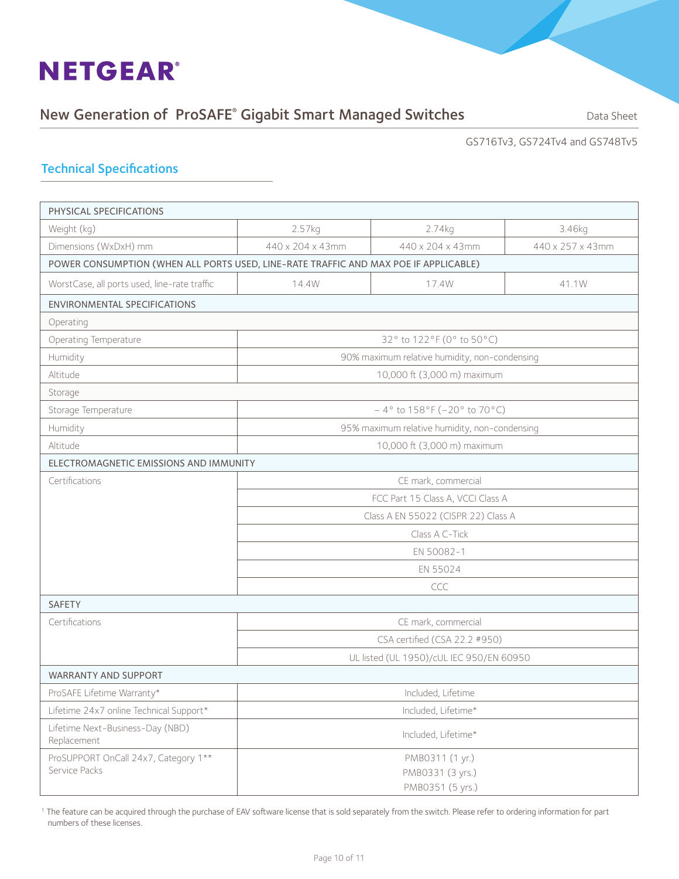### New Generation of ProSAFE® Gigabit Smart Managed Switches **Supersed Banks Cana** Sheet

GS716Tv3, GS724Tv4 and GS748Tv5

#### Technical Specifications

| PHYSICAL SPECIFICATIONS                                                              |                               |                                               |                  |  |  |
|--------------------------------------------------------------------------------------|-------------------------------|-----------------------------------------------|------------------|--|--|
| Weight (kg)                                                                          | 2.57kg                        | 2.74kg                                        | 3.46kg           |  |  |
| Dimensions (WxDxH) mm                                                                | 440 x 204 x 43mm              | 440 x 204 x 43mm                              | 440 x 257 x 43mm |  |  |
| POWER CONSUMPTION (WHEN ALL PORTS USED, LINE-RATE TRAFFIC AND MAX POE IF APPLICABLE) |                               |                                               |                  |  |  |
| WorstCase, all ports used, line-rate traffic<br>14.4W<br>17.4W<br>41.1W              |                               |                                               |                  |  |  |
| <b>ENVIRONMENTAL SPECIFICATIONS</b>                                                  |                               |                                               |                  |  |  |
| Operating                                                                            |                               |                                               |                  |  |  |
| Operating Temperature                                                                |                               | 32° to 122°F (0° to 50°C)                     |                  |  |  |
| Humidity                                                                             |                               | 90% maximum relative humidity, non-condensing |                  |  |  |
| Altitude                                                                             |                               | 10,000 ft (3,000 m) maximum                   |                  |  |  |
| Storage                                                                              |                               |                                               |                  |  |  |
| Storage Temperature                                                                  |                               | $-4^{\circ}$ to 158°F (-20° to 70°C)          |                  |  |  |
| Humidity                                                                             |                               | 95% maximum relative humidity, non-condensing |                  |  |  |
| Altitude                                                                             | 10,000 ft (3,000 m) maximum   |                                               |                  |  |  |
| ELECTROMAGNETIC EMISSIONS AND IMMUNITY                                               |                               |                                               |                  |  |  |
| Certifications                                                                       | CE mark, commercial           |                                               |                  |  |  |
|                                                                                      |                               | FCC Part 15 Class A, VCCI Class A             |                  |  |  |
|                                                                                      |                               | Class A EN 55022 (CISPR 22) Class A           |                  |  |  |
|                                                                                      | Class A C-Tick                |                                               |                  |  |  |
|                                                                                      | EN 50082-1                    |                                               |                  |  |  |
|                                                                                      | EN 55024                      |                                               |                  |  |  |
|                                                                                      | CCC                           |                                               |                  |  |  |
| <b>SAFETY</b>                                                                        |                               |                                               |                  |  |  |
| Certifications                                                                       |                               | CE mark, commercial                           |                  |  |  |
|                                                                                      | CSA certified (CSA 22.2 #950) |                                               |                  |  |  |
|                                                                                      |                               | UL listed (UL 1950)/cUL IEC 950/EN 60950      |                  |  |  |
| <b>WARRANTY AND SUPPORT</b>                                                          |                               |                                               |                  |  |  |
| ProSAFE Lifetime Warranty*                                                           | Included, Lifetime            |                                               |                  |  |  |
| Lifetime 24x7 online Technical Support*                                              |                               | Included, Lifetime*                           |                  |  |  |
| Lifetime Next-Business-Day (NBD)<br>Replacement                                      | Included, Lifetime*           |                                               |                  |  |  |
| ProSUPPORT OnCall 24x7, Category 1**                                                 |                               | PMB0311 (1 yr.)                               |                  |  |  |
| Service Packs                                                                        | PMB0331 (3 yrs.)              |                                               |                  |  |  |
|                                                                                      | PMB0351 (5 yrs.)              |                                               |                  |  |  |

<sup>1</sup> The feature can be acquired through the purchase of EAV software license that is sold separately from the switch. Please refer to ordering information for part numbers of these licenses.